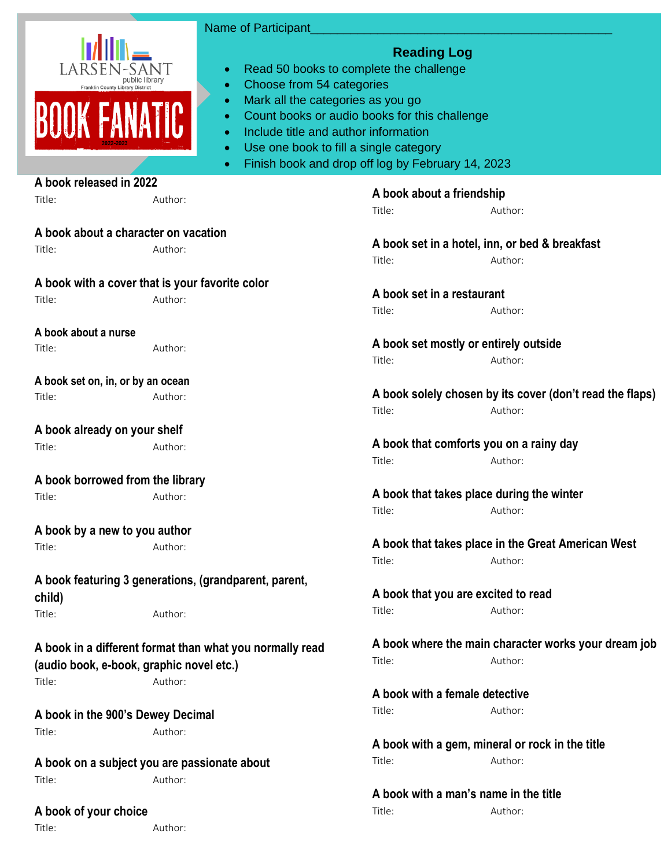